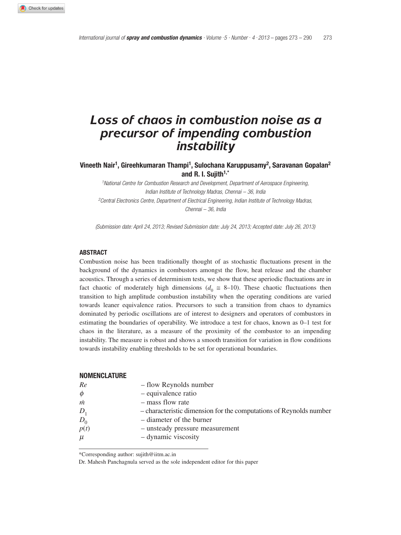# *Loss of chaos in combustion noise as a precursor of impending combustion instability*

**Vineeth Nair1, Gireehkumaran Thampi1, Sulochana Karuppusamy2, Saravanan Gopalan2 and R. I. Sujith1,\***

*1National Centre for Combustion Research and Development, Department of Aerospace Engineering, Indian Institute of Technology Madras, Chennai – 36, India 2Central Electronics Centre, Department of Electrical Engineering, Indian Institute of Technology Madras, Chennai – 36, India*

*(Submission date: April 24, 2013; Revised Submission date: July 24, 2013; Accepted date: July 26, 2013)*

## **ABSTRACT**

Combustion noise has been traditionally thought of as stochastic fluctuations present in the background of the dynamics in combustors amongst the flow, heat release and the chamber acoustics. Through a series of determinism tests, we show that these aperiodic fluctuations are in fact chaotic of moderately high dimensions ( $d_0 \approx 8{\text -}10$ ). These chaotic fluctuations then transition to high amplitude combustion instability when the operating conditions are varied towards leaner equivalence ratios. Precursors to such a transition from chaos to dynamics dominated by periodic oscillations are of interest to designers and operators of combustors in estimating the boundaries of operability. We introduce a test for chaos, known as 0–1 test for chaos in the literature, as a measure of the proximity of the combustor to an impending instability. The measure is robust and shows a smooth transition for variation in flow conditions towards instability enabling thresholds to be set for operational boundaries.

#### **NOMENCLATURE**

| Re     | - flow Reynolds number                                             |
|--------|--------------------------------------------------------------------|
| $\phi$ | - equivalence ratio                                                |
| m      | - mass flow rate                                                   |
| $D_1$  | - characteristic dimension for the computations of Reynolds number |
| $D_0$  | – diameter of the burner                                           |
| p(t)   | - unsteady pressure measurement                                    |
| $\mu$  | - dynamic viscosity                                                |

\*Corresponding author: sujith@iitm.ac.in

Dr. Mahesh Panchagnula served as the sole independent editor for this paper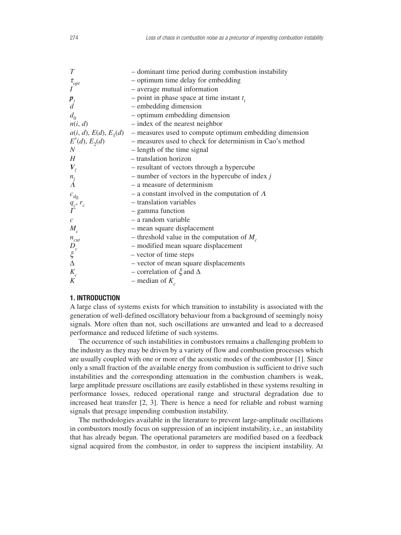| T                                                              | - dominant time period during combustion instability                           |
|----------------------------------------------------------------|--------------------------------------------------------------------------------|
|                                                                | - optimum time delay for embedding                                             |
| $\tau_{opt}$                                                   | - average mutual information                                                   |
| $\boldsymbol{p}_i$                                             | - point in phase space at time instant $t_i$                                   |
| $\overline{d}$                                                 | - embedding dimension                                                          |
| $d_0$                                                          | - optimum embedding dimension                                                  |
| n(i, d)                                                        | - index of the nearest neighbor                                                |
|                                                                | $a(i, d), E(d), E_1(d)$ – measures used to compute optimum embedding dimension |
| $E^*(d), E_2(d)$                                               | - measures used to check for determinism in Cao's method                       |
| $\boldsymbol{N}$                                               | - length of the time signal                                                    |
| H                                                              | - translation horizon                                                          |
| $V_{I}$                                                        | - resultant of vectors through a hypercube                                     |
| $\frac{n_j}{\Lambda}$                                          | - number of vectors in the hypercube of index $j$                              |
|                                                                | - a measure of determinism                                                     |
| $c_{d_0}$                                                      | - a constant involved in the computation of $\Lambda$                          |
| $\frac{q_c}{\Gamma}$ , $r_c$                                   | - translation variables                                                        |
|                                                                | - gamma function                                                               |
| $\mathcal{C}$                                                  | - a random variable                                                            |
| $M_{c}$                                                        | - mean square displacement                                                     |
|                                                                | - threshold value in the computation of $M_c$                                  |
| $\begin{array}{l} n_{cut} \\ D_c \\ \xi \\ \Delta \end{array}$ | - modified mean square displacement                                            |
|                                                                | - vector of time steps                                                         |
|                                                                | - vector of mean square displacements                                          |
| $K_c$                                                          | - correlation of $\xi$ and $\Delta$                                            |
| K                                                              | – median of $K_c$                                                              |

# **1. INTRODUCTION**

A large class of systems exists for which transition to instability is associated with the generation of well-defined oscillatory behaviour from a background of seemingly noisy signals. More often than not, such oscillations are unwanted and lead to a decreased performance and reduced lifetime of such systems.

The occurrence of such instabilities in combustors remains a challenging problem to the industry as they may be driven by a variety of flow and combustion processes which are usually coupled with one or more of the acoustic modes of the combustor [1]. Since only a small fraction of the available energy from combustion is sufficient to drive such instabilities and the corresponding attenuation in the combustion chambers is weak, large amplitude pressure oscillations are easily established in these systems resulting in performance losses, reduced operational range and structural degradation due to increased heat transfer [2, 3]. There is hence a need for reliable and robust warning signals that presage impending combustion instability.

The methodologies available in the literature to prevent large-amplitude oscillations in combustors mostly focus on suppression of an incipient instability, i.e., an instability that has already begun. The operational parameters are modified based on a feedback signal acquired from the combustor, in order to suppress the incipient instability. At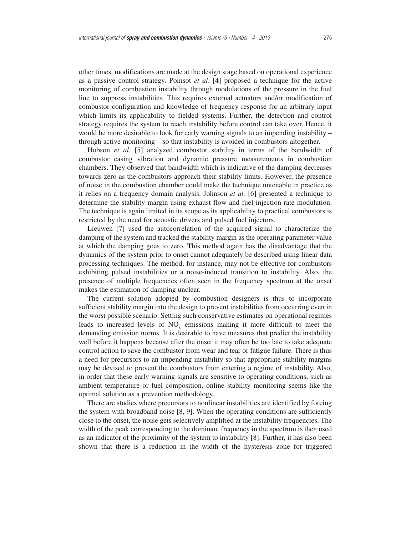other times, modifications are made at the design stage based on operational experience as a passive control strategy. Poinsot *et al*. [4] proposed a technique for the active monitoring of combustion instability through modulations of the pressure in the fuel line to suppress instabilities. This requires external actuators and/or modification of combustor configuration and knowledge of frequency response for an arbitrary input which limits its applicability to fielded systems. Further, the detection and control strategy requires the system to reach instability before control can take over. Hence, it would be more desirable to look for early warning signals to an impending instability – through active monitoring – so that instability is avoided in combustors altogether.

Hobson *et al.* [5] analyzed combustor stability in terms of the bandwidth of combustor casing vibration and dynamic pressure measurements in combustion chambers. They observed that bandwidth which is indicative of the damping decreases towards zero as the combustors approach their stability limits. However, the presence of noise in the combustion chamber could make the technique untenable in practice as it relies on a frequency domain analysis. Johnson *et al.* [6] presented a technique to determine the stability margin using exhaust flow and fuel injection rate modulation. The technique is again limited in its scope as its applicability to practical combustors is restricted by the need for acoustic drivers and pulsed fuel injectors.

Lieuwen [7] used the autocorrelation of the acquired signal to characterize the damping of the system and tracked the stability margin as the operating parameter value at which the damping goes to zero. This method again has the disadvantage that the dynamics of the system prior to onset cannot adequately be described using linear data processing techniques. The method, for instance, may not be effective for combustors exhibiting pulsed instabilities or a noise-induced transition to instability. Also, the presence of multiple frequencies often seen in the frequency spectrum at the onset makes the estimation of damping unclear.

The current solution adopted by combustion designers is thus to incorporate sufficient stability margin into the design to prevent instabilities from occurring even in the worst possible scenario. Setting such conservative estimates on operational regimes leads to increased levels of  $NO<sub>x</sub>$  emissions making it more difficult to meet the demanding emission norms. It is desirable to have measures that predict the instability well before it happens because after the onset it may often be too late to take adequate control action to save the combustor from wear and tear or fatigue failure. There is thus a need for precursors to an impending instability so that appropriate stability margins may be devised to prevent the combustors from entering a regime of instability. Also, in order that these early warning signals are sensitive to operating conditions, such as ambient temperature or fuel composition, online stability monitoring seems like the optimal solution as a prevention methodology.

There are studies where precursors to nonlinear instabilities are identified by forcing the system with broadband noise [8, 9]. When the operating conditions are sufficiently close to the onset, the noise gets selectively amplified at the instability frequencies. The width of the peak corresponding to the dominant frequency in the spectrum is then used as an indicator of the proximity of the system to instability [8]. Further, it has also been shown that there is a reduction in the width of the hysteresis zone for triggered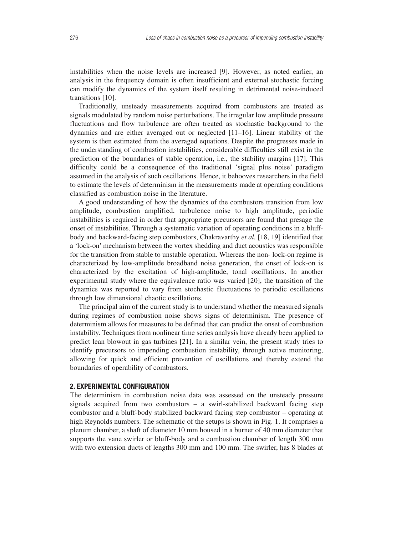instabilities when the noise levels are increased [9]. However, as noted earlier, an analysis in the frequency domain is often insufficient and external stochastic forcing can modify the dynamics of the system itself resulting in detrimental noise-induced transitions [10].

Traditionally, unsteady measurements acquired from combustors are treated as signals modulated by random noise perturbations. The irregular low amplitude pressure fluctuations and flow turbulence are often treated as stochastic background to the dynamics and are either averaged out or neglected [11–16]. Linear stability of the system is then estimated from the averaged equations. Despite the progresses made in the understanding of combustion instabilities, considerable difficulties still exist in the prediction of the boundaries of stable operation, i.e., the stability margins [17]. This difficulty could be a consequence of the traditional 'signal plus noise' paradigm assumed in the analysis of such oscillations. Hence, it behooves researchers in the field to estimate the levels of determinism in the measurements made at operating conditions classified as combustion noise in the literature.

A good understanding of how the dynamics of the combustors transition from low amplitude, combustion amplified, turbulence noise to high amplitude, periodic instabilities is required in order that appropriate precursors are found that presage the onset of instabilities. Through a systematic variation of operating conditions in a bluffbody and backward-facing step combustors, Chakravarthy *et al.* [18, 19] identified that a 'lock-on' mechanism between the vortex shedding and duct acoustics was responsible for the transition from stable to unstable operation. Whereas the non- lock-on regime is characterized by low-amplitude broadband noise generation, the onset of lock-on is characterized by the excitation of high-amplitude, tonal oscillations. In another experimental study where the equivalence ratio was varied [20], the transition of the dynamics was reported to vary from stochastic fluctuations to periodic oscillations through low dimensional chaotic oscillations.

The principal aim of the current study is to understand whether the measured signals during regimes of combustion noise shows signs of determinism. The presence of determinism allows for measures to be defined that can predict the onset of combustion instability. Techniques from nonlinear time series analysis have already been applied to predict lean blowout in gas turbines [21]. In a similar vein, the present study tries to identify precursors to impending combustion instability, through active monitoring, allowing for quick and efficient prevention of oscillations and thereby extend the boundaries of operability of combustors.

## **2. EXPERIMENTAL CONFIGURATION**

The determinism in combustion noise data was assessed on the unsteady pressure signals acquired from two combustors – a swirl-stabilized backward facing step combustor and a bluff-body stabilized backward facing step combustor – operating at high Reynolds numbers. The schematic of the setups is shown in Fig. 1. It comprises a plenum chamber, a shaft of diameter 10 mm housed in a burner of 40 mm diameter that supports the vane swirler or bluff-body and a combustion chamber of length 300 mm with two extension ducts of lengths 300 mm and 100 mm. The swirler, has 8 blades at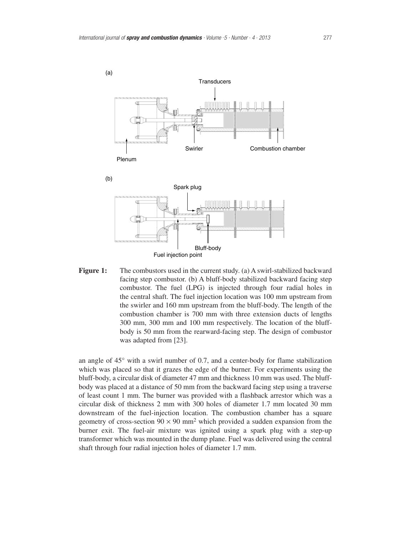

**Figure 1:** The combustors used in the current study. (a) A swirl-stabilized backward facing step combustor. (b) A bluff-body stabilized backward facing step combustor. The fuel (LPG) is injected through four radial holes in the central shaft. The fuel injection location was 100 mm upstream from the swirler and 160 mm upstream from the bluff-body. The length of the combustion chamber is 700 mm with three extension ducts of lengths 300 mm, 300 mm and 100 mm respectively. The location of the bluffbody is 50 mm from the rearward-facing step. The design of combustor was adapted from [23].

an angle of 45° with a swirl number of 0.7, and a center-body for flame stabilization which was placed so that it grazes the edge of the burner. For experiments using the bluff-body, a circular disk of diameter 47 mm and thickness 10 mm was used. The bluffbody was placed at a distance of 50 mm from the backward facing step using a traverse of least count 1 mm. The burner was provided with a flashback arrestor which was a circular disk of thickness 2 mm with 300 holes of diameter 1.7 mm located 30 mm downstream of the fuel-injection location. The combustion chamber has a square geometry of cross-section  $90 \times 90$  mm<sup>2</sup> which provided a sudden expansion from the burner exit. The fuel-air mixture was ignited using a spark plug with a step-up transformer which was mounted in the dump plane. Fuel was delivered using the central shaft through four radial injection holes of diameter 1.7 mm.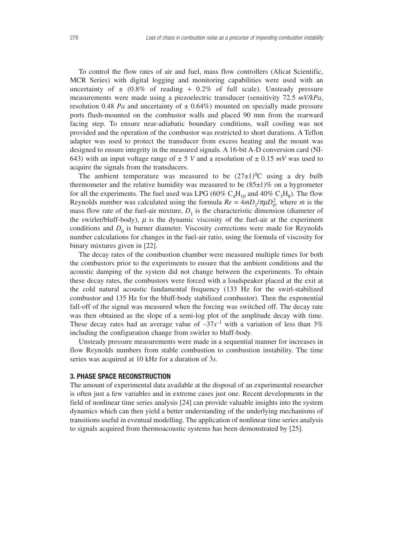To control the flow rates of air and fuel, mass flow controllers (Alicat Scientific, MCR Series) with digital logging and monitoring capabilities were used with an uncertainty of  $\pm$  (0.8% of reading + 0.2% of full scale). Unsteady pressure measurements were made using a piezoelectric transducer (sensitivity 72.5 *mV/kPa*, resolution 0.48 *Pa* and uncertainty of  $\pm$  0.64%) mounted on specially made pressure ports flush-mounted on the combustor walls and placed 90 mm from the rearward facing step. To ensure near-adiabatic boundary conditions, wall cooling was not provided and the operation of the combustor was restricted to short durations. A Teflon adapter was used to protect the transducer from excess heating and the mount was designed to ensure integrity in the measured signals. A 16-bit A-D conversion card (NI-643) with an input voltage range of  $\pm$  5 *V* and a resolution of  $\pm$  0.15 *mV* was used to acquire the signals from the transducers.

The ambient temperature was measured to be  $(27\pm1)$ <sup>0</sup>C using a dry bulb thermometer and the relative humidity was measured to be  $(85\pm1)\%$  on a hygrometer for all the experiments. The fuel used was LPG (60%  $C_A H_{10}$  and 40%  $C_3 H_8$ ). The flow Reynolds number was calculated using the formula  $Re = \frac{4}{10} \frac{1}{2} m D_1 / \pi \mu D_0^2$ , where *m* is the mass flow rate of the fuel-air mixture,  $D_1$  is the characteristic dimension (diameter of the swirler/bluff-body),  $\mu$  is the dynamic viscosity of the fuel-air at the experiment conditions and  $D_0$  is burner diameter. Viscosity corrections were made for Reynolds number calculations for changes in the fuel-air ratio, using the formula of viscosity for binary mixtures given in [22].

The decay rates of the combustion chamber were measured multiple times for both the combustors prior to the experiments to ensure that the ambient conditions and the acoustic damping of the system did not change between the experiments. To obtain these decay rates, the combustors were forced with a loudspeaker placed at the exit at the cold natural acoustic fundamental frequency (133 Hz for the swirl-stabilized combustor and 135 Hz for the bluff-body stabilized combustor). Then the exponential fall-off of the signal was measured when the forcing was switched off. The decay rate was then obtained as the slope of a semi-log plot of the amplitude decay with time. These decay rates had an average value of  $-37s^{-1}$  with a variation of less than 3% including the configuration change from swirler to bluff-body.

Unsteady pressure measurements were made in a sequential manner for increases in flow Reynolds numbers from stable combustion to combustion instability. The time series was acquired at 10 kHz for a duration of 3*s*.

## **3. PHASE SPACE RECONSTRUCTION**

The amount of experimental data available at the disposal of an experimental researcher is often just a few variables and in extreme cases just one. Recent developments in the field of nonlinear time series analysis [24] can provide valuable insights into the system dynamics which can then yield a better understanding of the underlying mechanisms of transitions useful in eventual modelling. The application of nonlinear time series analysis to signals acquired from thermoacoustic systems has been demonstrated by [25].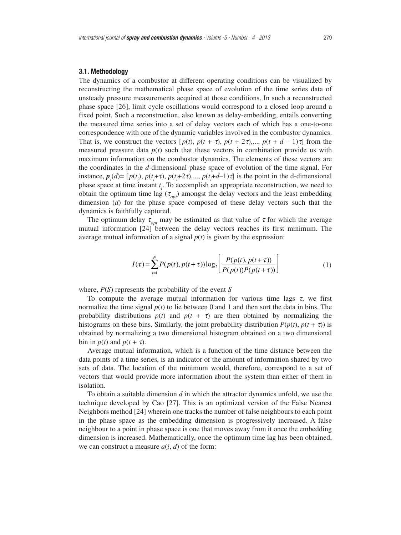## **3.1. Methodology**

The dynamics of a combustor at different operating conditions can be visualized by reconstructing the mathematical phase space of evolution of the time series data of unsteady pressure measurements acquired at those conditions. In such a reconstructed phase space [26], limit cycle oscillations would correspond to a closed loop around a fixed point. Such a reconstruction, also known as delay-embedding, entails converting the measured time series into a set of delay vectors each of which has a one-to-one correspondence with one of the dynamic variables involved in the combustor dynamics. That is, we construct the vectors  $[p(t), p(t + \tau), p(t + 2\tau),..., p(t + d - 1)\tau]$  from the measured pressure data  $p(t)$  such that these vectors in combination provide us with maximum information on the combustor dynamics. The elements of these vectors are the coordinates in the *d*-dimensional phase space of evolution of the time signal. For instance,  $p_i(d) = [p(t_i), p(t_i+\tau), p(t_i+2\tau),..., p(t_i+d-1)\tau]$  is the point in the d-dimensional phase space at time instant *t i* . To accomplish an appropriate reconstruction, we need to obtain the optimum time lag ( $\tau_{\text{opt}}$ ) amongst the delay vectors and the least embedding dimension (*d*) for the phase space composed of these delay vectors such that the dynamics is faithfully captured.

The optimum delay  $\tau_{\text{opt}}$  may be estimated as that value of  $\tau$  for which the average mutual information [24] between the delay vectors reaches its first minimum. The average mutual information of a signal  $p(t)$  is given by the expression:

$$
I(\tau) = \sum_{t=1}^{N} P(p(t), p(t+\tau)) \log_2 \left[ \frac{P(p(t), p(t+\tau))}{P(p(t))P(p(t+\tau))} \right]
$$
(1)

where, *P*(*S*) represents the probability of the event *S*

To compute the average mutual information for various time lags  $\tau$ , we first normalize the time signal *p*(*t*) to lie between 0 and 1 and then sort the data in bins. The probability distributions  $p(t)$  and  $p(t + \tau)$  are then obtained by normalizing the histograms on these bins. Similarly, the joint probability distribution  $P(p(t), p(t + \tau))$  is obtained by normalizing a two dimensional histogram obtained on a two dimensional bin in  $p(t)$  and  $p(t + \tau)$ .

Average mutual information, which is a function of the time distance between the data points of a time series, is an indicator of the amount of information shared by two sets of data. The location of the minimum would, therefore, correspond to a set of vectors that would provide more information about the system than either of them in isolation.

To obtain a suitable dimension *d* in which the attractor dynamics unfold, we use the technique developed by Cao [27]. This is an optimized version of the False Nearest Neighbors method [24] wherein one tracks the number of false neighbours to each point in the phase space as the embedding dimension is progressively increased. A false neighbour to a point in phase space is one that moves away from it once the embedding dimension is increased. Mathematically, once the optimum time lag has been obtained, we can construct a measure  $a(i, d)$  of the form: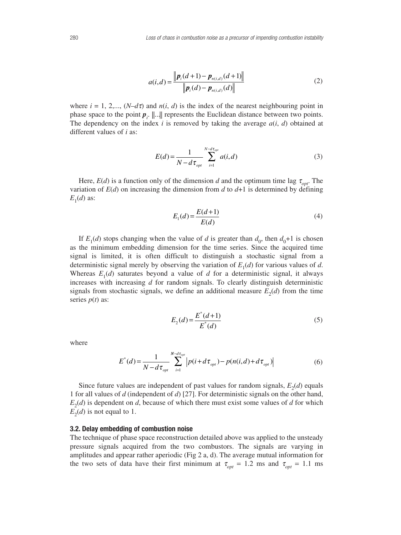$$
a(i,d) = \frac{\|\boldsymbol{p}_i(d+1) - \boldsymbol{p}_{n(i,d)}(d+1)\|}{\|\boldsymbol{p}_i(d) - \boldsymbol{p}_{n(i,d)}(d)\|}
$$
(2)

where  $i = 1, 2,..., (N-d\tau)$  and  $n(i, d)$  is the index of the nearest neighbouring point in phase space to the point  $p_i$ .  $\ldots$  represents the Euclidean distance between two points. The dependency on the index  $i$  is removed by taking the average  $a(i, d)$  obtained at different values of *i* as:

$$
E(d) = \frac{1}{N - d\tau_{opt}} \sum_{i=1}^{N - d\tau_{opt}} a(i, d)
$$
 (3)

Here,  $E(d)$  is a function only of the dimension *d* and the optimum time lag  $\tau_{opt}$ . The variation of  $E(d)$  on increasing the dimension from  $d$  to  $d+1$  is determined by defining  $E_1(d)$  as:

$$
E_1(d) = \frac{E(d+1)}{E(d)}\tag{4}
$$

If  $E_1(d)$  stops changing when the value of *d* is greater than  $d_0$ , then  $d_0+1$  is chosen as the minimum embedding dimension for the time series. Since the acquired time signal is limited, it is often difficult to distinguish a stochastic signal from a deterministic signal merely by observing the variation of  $E_1(d)$  for various values of *d*. Whereas  $E_1(d)$  saturates beyond a value of *d* for a deterministic signal, it always increases with increasing *d* for random signals. To clearly distinguish deterministic signals from stochastic signals, we define an additional measure  $E_2(d)$  from the time series  $p(t)$  as:

$$
E_2(d) = \frac{E^*(d+1)}{E^*(d)}
$$
\n(5)

where

$$
E^*(d) = \frac{1}{N - d\tau_{opt}} \sum_{i=1}^{N - d\tau_{opt}} \left| p(i + d\tau_{opt}) - p(n(i, d) + d\tau_{opt}) \right| \tag{6}
$$

Since future values are independent of past values for random signals,  $E_2(d)$  equals 1 for all values of *d* (independent of *d*) [27]. For deterministic signals on the other hand,  $E_2(d)$  is dependent on *d*, because of which there must exist some values of *d* for which  $E_2(d)$  is not equal to 1.

## **3.2. Delay embedding of combustion noise**

The technique of phase space reconstruction detailed above was applied to the unsteady pressure signals acquired from the two combustors. The signals are varying in amplitudes and appear rather aperiodic (Fig 2 a, d). The average mutual information for the two sets of data have their first minimum at  $\tau_{opt} = 1.2$  ms and  $\tau_{opt} = 1.1$  ms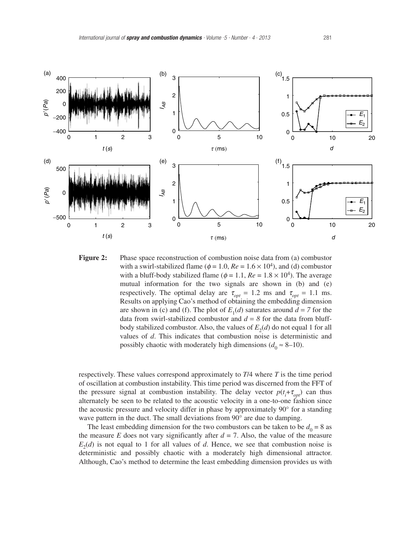



respectively. These values correspond approximately to *T*/4 where *T* is the time period of oscillation at combustion instability. This time period was discerned from the FFT of the pressure signal at combustion instability. The delay vector  $p(t_i + \tau_{opt})$  can thus alternately be seen to be related to the acoustic velocity in a one-to-one fashion since the acoustic pressure and velocity differ in phase by approximately 90° for a standing wave pattern in the duct. The small deviations from 90<sup>°</sup> are due to damping.

The least embedding dimension for the two combustors can be taken to be  $d_0 = 8$  as the measure *E* does not vary significantly after  $d = 7$ . Also, the value of the measure  $E_2(d)$  is not equal to 1 for all values of *d*. Hence, we see that combustion noise is deterministic and possibly chaotic with a moderately high dimensional attractor. Although, Cao's method to determine the least embedding dimension provides us with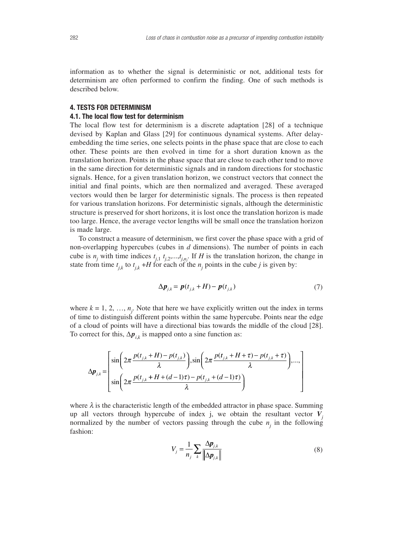information as to whether the signal is deterministic or not, additional tests for determinism are often performed to confirm the finding. One of such methods is described below.

# **4. TESTS FOR DETERMINISM**

## **4.1. The local flow test for determinism**

The local flow test for determinism is a discrete adaptation [28] of a technique devised by Kaplan and Glass [29] for continuous dynamical systems. After delayembedding the time series, one selects points in the phase space that are close to each other. These points are then evolved in time for a short duration known as the translation horizon. Points in the phase space that are close to each other tend to move in the same direction for deterministic signals and in random directions for stochastic signals. Hence, for a given translation horizon, we construct vectors that connect the initial and final points, which are then normalized and averaged. These averaged vectors would then be larger for deterministic signals. The process is then repeated for various translation horizons. For deterministic signals, although the deterministic structure is preserved for short horizons, it is lost once the translation horizon is made too large. Hence, the average vector lengths will be small once the translation horizon is made large.

To construct a measure of determinism, we first cover the phase space with a grid of non-overlapping hypercubes (cubes in *d* dimensions). The number of points in each cube is  $n_j$  with time indices  $t_{j,1}$ ,  $t_{j,2},...,t_{j,n_j}$ . If *H* is the translation horizon, the change in state from time  $t_{j,k}$  to  $t_{j,k}$  +*H* for each of the  $n_j$  points in the cube *j* is given by:

$$
\Delta p_{j,k} = p(t_{j,k} + H) - p(t_{j,k})
$$
\n<sup>(7)</sup>

where  $k = 1, 2, ..., n_j$ . Note that here we have explicitly written out the index in terms of time to distinguish different points within the same hypercube. Points near the edge of a cloud of points will have a directional bias towards the middle of the cloud [28]. To correct for this,  $\Delta p_{ik}$  is mapped onto a sine function as:

$$
\Delta p_{j,k} = \left[ \frac{\sin \left( 2\pi \frac{p(t_{j,k} + H) - p(t_{j,k})}{\lambda} \right), \sin \left( 2\pi \frac{p(t_{j,k} + H + \tau) - p(t_{j,k} + \tau)}{\lambda} \right), \dots, \right] \times \sin \left( 2\pi \frac{p(t_{j,k} + H + (d-1)\tau) - p(t_{j,k} + (d-1)\tau)}{\lambda} \right) \right]
$$

where  $\lambda$  is the characteristic length of the embedded attractor in phase space. Summing up all vectors through hypercube of index j, we obtain the resultant vector  $V_i$ normalized by the number of vectors passing through the cube  $n<sub>i</sub>$  in the following fashion:

$$
V_j = \frac{1}{n_j} \sum_{k} \frac{\Delta p_{j,k}}{\|\Delta p_{j,k}\|} \tag{8}
$$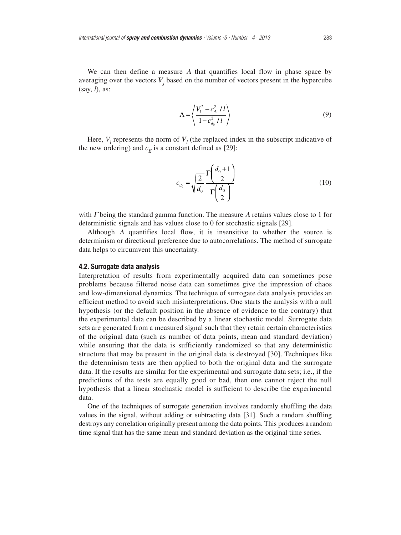We can then define a measure  $\Lambda$  that quantifies local flow in phase space by averaging over the vectors  $V_i$  based on the number of vectors present in the hypercube (say, *l*), as:

$$
\Lambda = \left\langle \frac{V_l^2 - c_{d_0}^2 / l}{1 - c_{d_0}^2 / l} \right\rangle
$$
\n(9)

Here,  $V_l$  represents the norm of  $V_l$  (the replaced index in the subscript indicative of the new ordering) and  $c_E$  is a constant defined as [29]:

$$
c_{d_0} = \sqrt{\frac{2}{d_0} \frac{\Gamma\left(\frac{d_0 + 1}{2}\right)}{\Gamma\left(\frac{d_0}{2}\right)}}
$$
\n(10)

with  $\Gamma$  being the standard gamma function. The measure  $\Lambda$  retains values close to 1 for deterministic signals and has values close to 0 for stochastic signals [29].

Although  $\Lambda$  quantifies local flow, it is insensitive to whether the source is determinism or directional preference due to autocorrelations. The method of surrogate data helps to circumvent this uncertainty.

## **4.2. Surrogate data analysis**

Interpretation of results from experimentally acquired data can sometimes pose problems because filtered noise data can sometimes give the impression of chaos and low-dimensional dynamics. The technique of surrogate data analysis provides an efficient method to avoid such misinterpretations. One starts the analysis with a null hypothesis (or the default position in the absence of evidence to the contrary) that the experimental data can be described by a linear stochastic model. Surrogate data sets are generated from a measured signal such that they retain certain characteristics of the original data (such as number of data points, mean and standard deviation) while ensuring that the data is sufficiently randomized so that any deterministic structure that may be present in the original data is destroyed [30]. Techniques like the determinism tests are then applied to both the original data and the surrogate data. If the results are similar for the experimental and surrogate data sets; i.e., if the predictions of the tests are equally good or bad, then one cannot reject the null hypothesis that a linear stochastic model is sufficient to describe the experimental data.

One of the techniques of surrogate generation involves randomly shuffling the data values in the signal, without adding or subtracting data [31]. Such a random shuffling destroys any correlation originally present among the data points. This produces a random time signal that has the same mean and standard deviation as the original time series.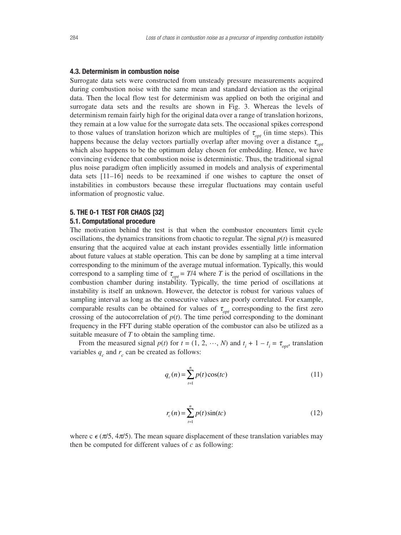## **4.3. Determinism in combustion noise**

Surrogate data sets were constructed from unsteady pressure measurements acquired during combustion noise with the same mean and standard deviation as the original data. Then the local flow test for determinism was applied on both the original and surrogate data sets and the results are shown in Fig. 3. Whereas the levels of determinism remain fairly high for the original data over a range of translation horizons, they remain at a low value for the surrogate data sets. The occasional spikes correspond to those values of translation horizon which are multiples of  $\tau_{opt}$  (in time steps). This happens because the delay vectors partially overlap after moving over a distance  $\tau_{\text{opt}}$ which also happens to be the optimum delay chosen for embedding. Hence, we have convincing evidence that combustion noise is deterministic. Thus, the traditional signal plus noise paradigm often implicitly assumed in models and analysis of experimental data sets [11–16] needs to be reexamined if one wishes to capture the onset of instabilities in combustors because these irregular fluctuations may contain useful information of prognostic value.

# **5. THE 0-1 TEST FOR CHAOS [32]**

# **5.1. Computational procedure**

The motivation behind the test is that when the combustor encounters limit cycle oscillations, the dynamics transitions from chaotic to regular. The signal  $p(t)$  is measured ensuring that the acquired value at each instant provides essentially little information about future values at stable operation. This can be done by sampling at a time interval corresponding to the minimum of the average mutual information. Typically, this would correspond to a sampling time of  $\tau_{opt} = T/4$  where *T* is the period of oscillations in the combustion chamber during instability. Typically, the time period of oscillations at instability is itself an unknown. However, the detector is robust for various values of sampling interval as long as the consecutive values are poorly correlated. For example, comparable results can be obtained for values of  $\tau_{\text{opt}}$  corresponding to the first zero crossing of the autocorrelation of  $p(t)$ . The time period corresponding to the dominant frequency in the FFT during stable operation of the combustor can also be utilized as a suitable measure of *T* to obtain the sampling time.

From the measured signal  $p(t)$  for  $t = (1, 2, \dots, N)$  and  $t_i + 1 - t_i = \tau_{opt}$ , translation variables  $q_c$  and  $r_c$  can be created as follows:

$$
q_c(n) = \sum_{t=1}^{n} p(t)\cos(tc)
$$
 (11)

$$
r_c(n) = \sum_{t=1}^{n} p(t) \sin(tc)
$$
 (12)

where c  $\epsilon$  ( $\pi/5$ ,  $4\pi/5$ ). The mean square displacement of these translation variables may then be computed for different values of *c* as following: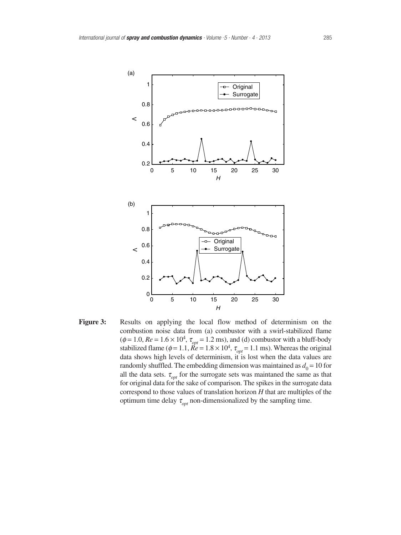

**Figure 3:** Results on applying the local flow method of determinism on the combustion noise data from (a) combustor with a swirl-stabilized flame  $(\phi = 1.0, Re = 1.6 \times 10^4, \tau_{opt} = 1.2 \text{ ms})$ , and (d) combustor with a bluff-body stabilized flame ( $\phi$  = 1.1,  $\dot{Re}$  = 1.8 × 10<sup>4</sup>,  $\tau_{opt}$  = 1.1 ms). Whereas the original data shows high levels of determinism, it is lost when the data values are randomly shuffled. The embedding dimension was maintained as  $d_0 = 10$  for all the data sets.  $\tau_{opt}$  for the surrogate sets was maintaned the same as that for original data for the sake of comparison. The spikes in the surrogate data correspond to those values of translation horizon *H* that are multiples of the optimum time delay  $\tau_{opt}$  non-dimensionalized by the sampling time.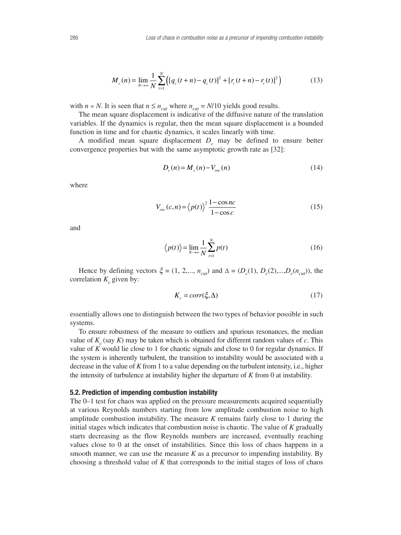$$
M_c(n) = \lim_{N \to \infty} \frac{1}{N} \sum_{t=1}^{N} \left( \left[ q_c(t+n) - q_c(t) \right]^2 + \left[ r_c(t+n) - r_c(t) \right]^2 \right) \tag{13}
$$

with *n* « *N*. It is seen that  $n \le n_{cut}$  where  $n_{cut} = N/10$  yields good results.

The mean square displacement is indicative of the diffusive nature of the translation variables. If the dynamics is regular, then the mean square displacement is a bounded function in time and for chaotic dynamics, it scales linearly with time.

A modified mean square displacement  $D<sub>c</sub>$  may be defined to ensure better convergence properties but with the same asymptotic growth rate as [32]:

$$
D_c(n) = M_c(n) - V_{osc}(n) \tag{14}
$$

where

$$
V_{osc}(c,n) = \langle p(t) \rangle^2 \frac{1 - \cos nc}{1 - \cos c} \tag{15}
$$

and

$$
\langle p(t) \rangle = \lim_{N \to \infty} \frac{1}{N} \sum_{t=1}^{N} p(t)
$$
 (16)

Hence by defining vectors  $\xi = (1, 2,..., n_{\text{cut}})$  and  $\Delta = (D_c(1), D_c(2),...,D_c(n_{\text{cut}}))$ , the correlation  $K_c$  given by:

$$
K_c = corr(\xi, \Delta) \tag{17}
$$

essentially allows one to distinguish between the two types of behavior possible in such systems.

To ensure robustness of the measure to outliers and spurious resonances, the median value of  $K_c$  (say  $K$ ) may be taken which is obtained for different random values of  $c$ . This value of *K* would lie close to 1 for chaotic signals and close to 0 for regular dynamics. If the system is inherently turbulent, the transition to instability would be associated with a decrease in the value of *K* from 1 to a value depending on the turbulent intensity, i.e., higher the intensity of turbulence at instability higher the departure of *K* from 0 at instability.

### **5.2. Prediction of impending combustion instability**

The 0–1 test for chaos was applied on the pressure measurements acquired sequentially at various Reynolds numbers starting from low amplitude combustion noise to high amplitude combustion instability. The measure *K* remains fairly close to 1 during the initial stages which indicates that combustion noise is chaotic. The value of *K* gradually starts decreasing as the flow Reynolds numbers are increased, eventually reaching values close to 0 at the onset of instabilities. Since this loss of chaos happens in a smooth manner, we can use the measure  $K$  as a precursor to impending instability. By choosing a threshold value of *K* that corresponds to the initial stages of loss of chaos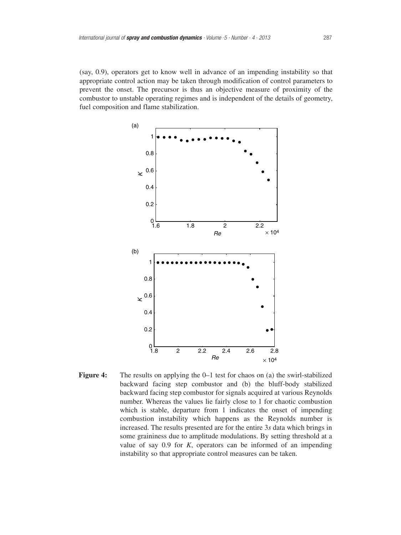(say, 0.9), operators get to know well in advance of an impending instability so that appropriate control action may be taken through modification of control parameters to prevent the onset. The precursor is thus an objective measure of proximity of the combustor to unstable operating regimes and is independent of the details of geometry, fuel composition and flame stabilization.



**Figure 4:** The results on applying the 0–1 test for chaos on (a) the swirl-stabilized backward facing step combustor and (b) the bluff-body stabilized backward facing step combustor for signals acquired at various Reynolds number. Whereas the values lie fairly close to 1 for chaotic combustion which is stable, departure from 1 indicates the onset of impending combustion instability which happens as the Reynolds number is increased. The results presented are for the entire 3*s* data which brings in some graininess due to amplitude modulations. By setting threshold at a value of say 0.9 for *K*, operators can be informed of an impending instability so that appropriate control measures can be taken.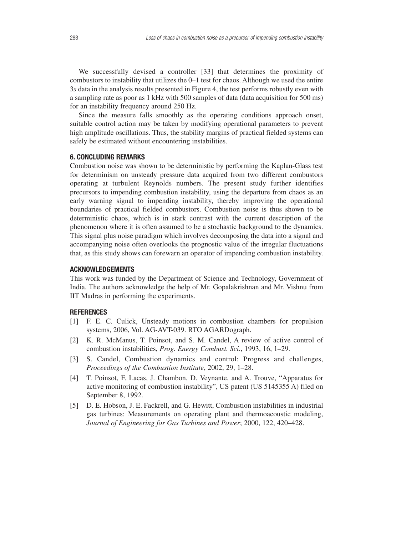We successfully devised a controller [33] that determines the proximity of combustors to instability that utilizes the 0–1 test for chaos. Although we used the entire 3*s* data in the analysis results presented in Figure 4, the test performs robustly even with a sampling rate as poor as 1 kHz with 500 samples of data (data acquisition for 500 ms) for an instability frequency around 250 Hz.

Since the measure falls smoothly as the operating conditions approach onset, suitable control action may be taken by modifying operational parameters to prevent high amplitude oscillations. Thus, the stability margins of practical fielded systems can safely be estimated without encountering instabilities.

## **6. CONCLUDING REMARKS**

Combustion noise was shown to be deterministic by performing the Kaplan-Glass test for determinism on unsteady pressure data acquired from two different combustors operating at turbulent Reynolds numbers. The present study further identifies precursors to impending combustion instability, using the departure from chaos as an early warning signal to impending instability, thereby improving the operational boundaries of practical fielded combustors. Combustion noise is thus shown to be deterministic chaos, which is in stark contrast with the current description of the phenomenon where it is often assumed to be a stochastic background to the dynamics. This signal plus noise paradigm which involves decomposing the data into a signal and accompanying noise often overlooks the prognostic value of the irregular fluctuations that, as this study shows can forewarn an operator of impending combustion instability.

# **ACKNOWLEDGEMENTS**

This work was funded by the Department of Science and Technology, Government of India. The authors acknowledge the help of Mr. Gopalakrishnan and Mr. Vishnu from IIT Madras in performing the experiments.

#### **REFERENCES**

- [1] F. E. C. Culick, Unsteady motions in combustion chambers for propulsion systems, 2006, Vol. AG-AVT-039. RTO AGARDograph.
- [2] K. R. McManus, T. Poinsot, and S. M. Candel, A review of active control of combustion instabilities, *Prog. Energy Combust. Sci.*, 1993, 16, 1–29.
- [3] S. Candel, Combustion dynamics and control: Progress and challenges, *Proceedings of the Combustion Institute*, 2002, 29, 1–28.
- [4] T. Poinsot, F. Lacas, J. Chambon, D. Veynante, and A. Trouve, "Apparatus for active monitoring of combustion instability", US patent (US 5145355 A) filed on September 8, 1992.
- [5] D. E. Hobson, J. E. Fackrell, and G. Hewitt, Combustion instabilities in industrial gas turbines: Measurements on operating plant and thermoacoustic modeling, *Journal of Engineering for Gas Turbines and Power*; 2000, 122, 420–428.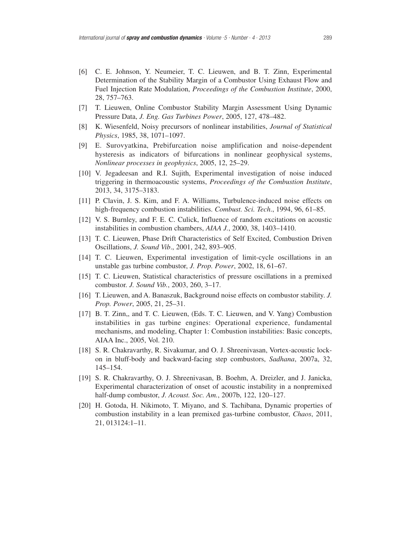- [6] C. E. Johnson, Y. Neumeier, T. C. Lieuwen, and B. T. Zinn, Experimental Determination of the Stability Margin of a Combustor Using Exhaust Flow and Fuel Injection Rate Modulation, *Proceedings of the Combustion Institute*, 2000, 28, 757–763.
- [7] T. Lieuwen, Online Combustor Stability Margin Assessment Using Dynamic Pressure Data, *J. Eng. Gas Turbines Power*, 2005, 127, 478–482.
- [8] K. Wiesenfeld, Noisy precursors of nonlinear instabilities, *Journal of Statistical Physics*, 1985, 38, 1071–1097.
- [9] E. Surovyatkina, Prebifurcation noise amplification and noise-dependent hysteresis as indicators of bifurcations in nonlinear geophysical systems, *Nonlinear processes in geophysics*, 2005, 12, 25–29.
- [10] V. Jegadeesan and R.I. Sujith, Experimental investigation of noise induced triggering in thermoacoustic systems, *Proceedings of the Combustion Institute*, 2013, 34, 3175–3183.
- [11] P. Clavin, J. S. Kim, and F. A. Williams, Turbulence-induced noise effects on high-frequency combustion instabilities. *Combust. Sci. Tech*., 1994, 96, 61–85.
- [12] V. S. Burnley, and F. E. C. Culick, Influence of random excitations on acoustic instabilities in combustion chambers, *AIAA J.*, 2000, 38, 1403–1410.
- [13] T. C. Lieuwen, Phase Drift Characteristics of Self Excited, Combustion Driven Oscillations, *J. Sound Vib*., 2001, 242, 893–905.
- [14] T. C. Lieuwen, Experimental investigation of limit-cycle oscillations in an unstable gas turbine combustor, *J. Prop. Power*, 2002, 18, 61–67.
- [15] T. C. Lieuwen, Statistical characteristics of pressure oscillations in a premixed combustor. *J. Sound Vib.*, 2003, 260, 3–17.
- [16] T. Lieuwen, and A. Banaszuk, Background noise effects on combustor stability. *J. Prop. Power*, 2005, 21, 25–31.
- [17] B. T. Zinn,, and T. C. Lieuwen, (Eds. T. C. Lieuwen, and V. Yang) Combustion instabilities in gas turbine engines: Operational experience, fundamental mechanisms, and modeling, Chapter 1: Combustion instabilities: Basic concepts, AIAA Inc., 2005, Vol. 210.
- [18] S. R. Chakravarthy, R. Sivakumar, and O. J. Shreenivasan, Vortex-acoustic lockon in bluff-body and backward-facing step combustors, *Sadhana*, 2007a, 32, 145–154.
- [19] S. R. Chakravarthy, O. J. Shreenivasan, B. Boehm, A. Dreizler, and J. Janicka, Experimental characterization of onset of acoustic instability in a nonpremixed half-dump combustor, *J. Acoust. Soc. Am.*, 2007b, 122, 120–127.
- [20] H. Gotoda, H. Nikimoto, T. Miyano, and S. Tachibana, Dynamic properties of combustion instability in a lean premixed gas-turbine combustor, *Chaos*, 2011, 21, 013124:1–11.